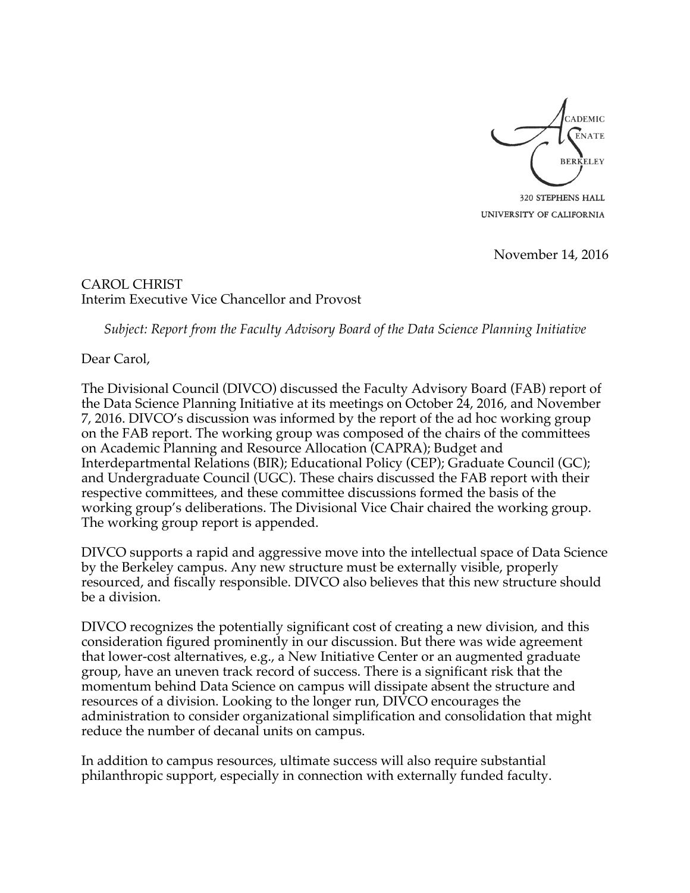

320 STEPHENS HALL UNIVERSITY OF CALIFORNIA

November 14, 2016

CAROL CHRIST Interim Executive Vice Chancellor and Provost

*Subject: Report from the Faculty Advisory Board of the Data Science Planning Initiative*

Dear Carol,

The Divisional Council (DIVCO) discussed the Faculty Advisory Board (FAB) report of the Data Science Planning Initiative at its meetings on October 24, 2016, and November 7, 2016. DIVCO's discussion was informed by the report of the ad hoc working group on the FAB report. The working group was composed of the chairs of the committees on Academic Planning and Resource Allocation (CAPRA); Budget and Interdepartmental Relations (BIR); Educational Policy (CEP); Graduate Council (GC); and Undergraduate Council (UGC). These chairs discussed the FAB report with their respective committees, and these committee discussions formed the basis of the working group's deliberations. The Divisional Vice Chair chaired the working group. The working group report is appended.

DIVCO supports a rapid and aggressive move into the intellectual space of Data Science by the Berkeley campus. Any new structure must be externally visible, properly resourced, and fiscally responsible. DIVCO also believes that this new structure should be a division.

DIVCO recognizes the potentially significant cost of creating a new division, and this consideration figured prominently in our discussion. But there was wide agreement that lower-cost alternatives, e.g., a New Initiative Center or an augmented graduate group, have an uneven track record of success. There is a significant risk that the momentum behind Data Science on campus will dissipate absent the structure and resources of a division. Looking to the longer run, DIVCO encourages the administration to consider organizational simplification and consolidation that might reduce the number of decanal units on campus.

In addition to campus resources, ultimate success will also require substantial philanthropic support, especially in connection with externally funded faculty.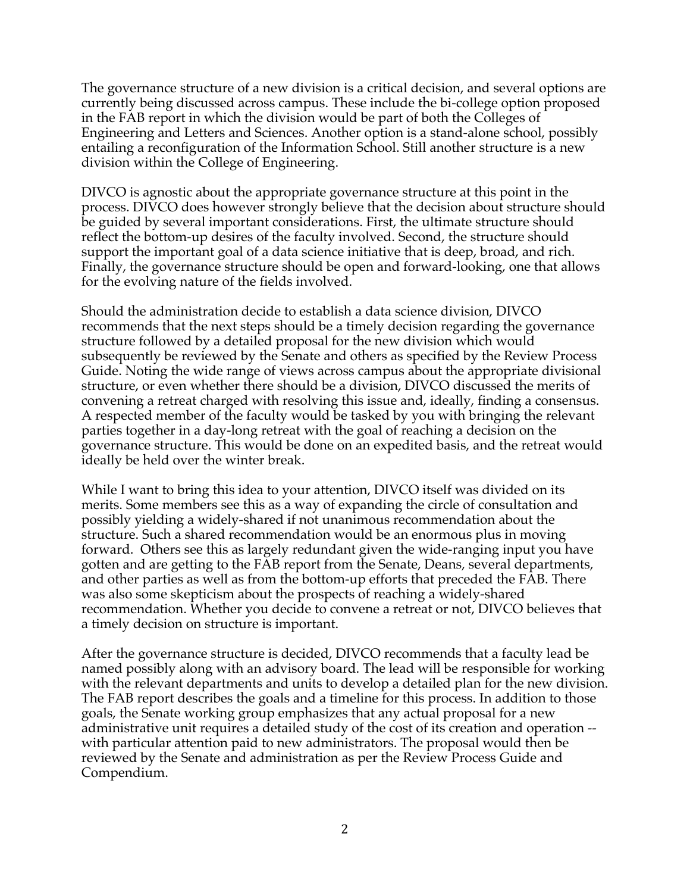The governance structure of a new division is a critical decision, and several options are currently being discussed across campus. These include the bi-college option proposed in the FAB report in which the division would be part of both the Colleges of Engineering and Letters and Sciences. Another option is a stand-alone school, possibly entailing a reconfiguration of the Information School. Still another structure is a new division within the College of Engineering.

DIVCO is agnostic about the appropriate governance structure at this point in the process. DIVCO does however strongly believe that the decision about structure should be guided by several important considerations. First, the ultimate structure should reflect the bottom-up desires of the faculty involved. Second, the structure should support the important goal of a data science initiative that is deep, broad, and rich. Finally, the governance structure should be open and forward-looking, one that allows for the evolving nature of the fields involved.

Should the administration decide to establish a data science division, DIVCO recommends that the next steps should be a timely decision regarding the governance structure followed by a detailed proposal for the new division which would subsequently be reviewed by the Senate and others as specified by the Review Process Guide. Noting the wide range of views across campus about the appropriate divisional structure, or even whether there should be a division, DIVCO discussed the merits of convening a retreat charged with resolving this issue and, ideally, finding a consensus. A respected member of the faculty would be tasked by you with bringing the relevant parties together in a day-long retreat with the goal of reaching a decision on the governance structure. This would be done on an expedited basis, and the retreat would ideally be held over the winter break.

While I want to bring this idea to your attention, DIVCO itself was divided on its merits. Some members see this as a way of expanding the circle of consultation and possibly yielding a widely-shared if not unanimous recommendation about the structure. Such a shared recommendation would be an enormous plus in moving forward. Others see this as largely redundant given the wide-ranging input you have gotten and are getting to the FAB report from the Senate, Deans, several departments, and other parties as well as from the bottom-up efforts that preceded the FAB. There was also some skepticism about the prospects of reaching a widely-shared recommendation. Whether you decide to convene a retreat or not, DIVCO believes that a timely decision on structure is important.

After the governance structure is decided, DIVCO recommends that a faculty lead be named possibly along with an advisory board. The lead will be responsible for working with the relevant departments and units to develop a detailed plan for the new division. The FAB report describes the goals and a timeline for this process. In addition to those goals, the Senate working group emphasizes that any actual proposal for a new administrative unit requires a detailed study of the cost of its creation and operation - with particular attention paid to new administrators. The proposal would then be reviewed by the Senate and administration as per the Review Process Guide and Compendium.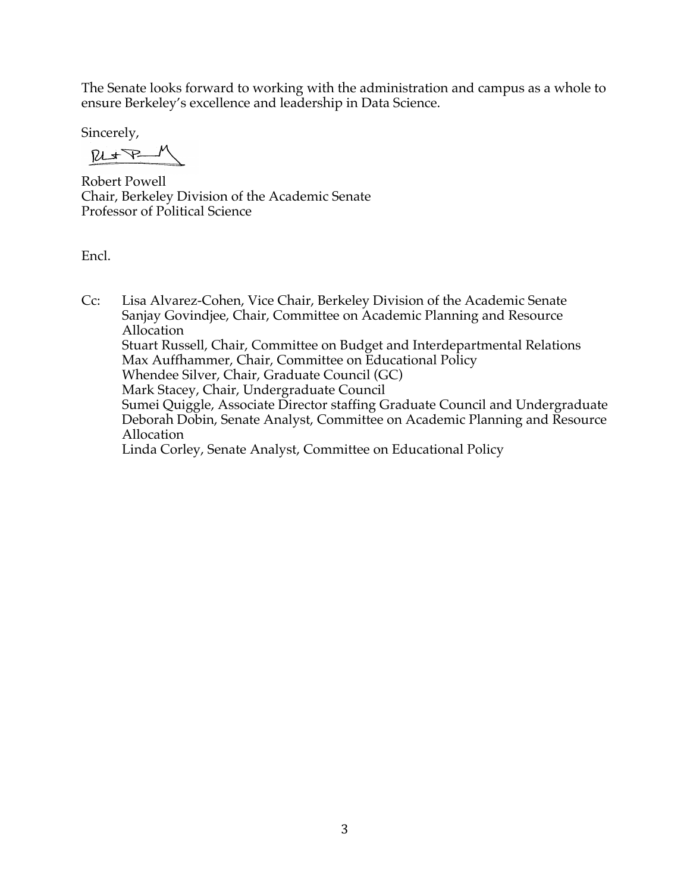The Senate looks forward to working with the administration and campus as a whole to ensure Berkeley's excellence and leadership in Data Science.

Sincerely,

 $M_{\star}$ 

Robert Powell Chair, Berkeley Division of the Academic Senate Professor of Political Science

Encl.

Cc: Lisa Alvarez-Cohen, Vice Chair, Berkeley Division of the Academic Senate Sanjay Govindjee, Chair, Committee on Academic Planning and Resource Allocation Stuart Russell, Chair, Committee on Budget and Interdepartmental Relations Max Auffhammer, Chair, Committee on Educational Policy Whendee Silver, Chair, Graduate Council (GC) Mark Stacey, Chair, Undergraduate Council Sumei Quiggle, Associate Director staffing Graduate Council and Undergraduate Deborah Dobin, Senate Analyst, Committee on Academic Planning and Resource Allocation Linda Corley, Senate Analyst, Committee on Educational Policy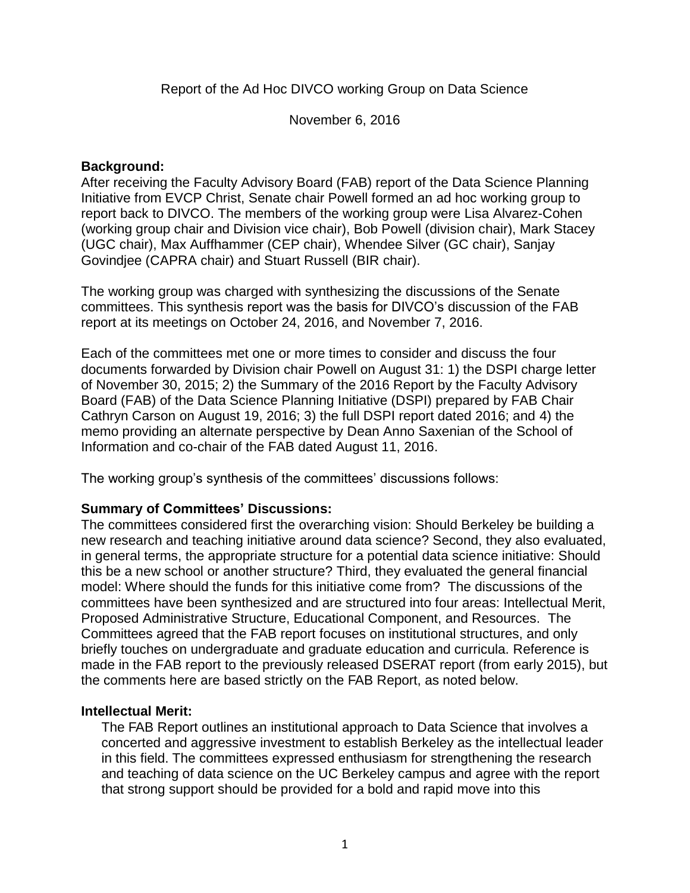Report of the Ad Hoc DIVCO working Group on Data Science

November 6, 2016

## **Background:**

After receiving the Faculty Advisory Board (FAB) report of the Data Science Planning Initiative from EVCP Christ, Senate chair Powell formed an ad hoc working group to report back to DIVCO. The members of the working group were Lisa Alvarez-Cohen (working group chair and Division vice chair), Bob Powell (division chair), Mark Stacey (UGC chair), Max Auffhammer (CEP chair), Whendee Silver (GC chair), Sanjay Govindjee (CAPRA chair) and Stuart Russell (BIR chair).

The working group was charged with synthesizing the discussions of the Senate committees. This synthesis report was the basis for DIVCO's discussion of the FAB report at its meetings on October 24, 2016, and November 7, 2016.

Each of the committees met one or more times to consider and discuss the four documents forwarded by Division chair Powell on August 31: 1) the DSPI charge letter of November 30, 2015; 2) the Summary of the 2016 Report by the Faculty Advisory Board (FAB) of the Data Science Planning Initiative (DSPI) prepared by FAB Chair Cathryn Carson on August 19, 2016; 3) the full DSPI report dated 2016; and 4) the memo providing an alternate perspective by Dean Anno Saxenian of the School of Information and co-chair of the FAB dated August 11, 2016.

The working group's synthesis of the committees' discussions follows:

# **Summary of Committees' Discussions:**

The committees considered first the overarching vision: Should Berkeley be building a new research and teaching initiative around data science? Second, they also evaluated, in general terms, the appropriate structure for a potential data science initiative: Should this be a new school or another structure? Third, they evaluated the general financial model: Where should the funds for this initiative come from? The discussions of the committees have been synthesized and are structured into four areas: Intellectual Merit, Proposed Administrative Structure, Educational Component, and Resources. The Committees agreed that the FAB report focuses on institutional structures, and only briefly touches on undergraduate and graduate education and curricula. Reference is made in the FAB report to the previously released DSERAT report (from early 2015), but the comments here are based strictly on the FAB Report, as noted below.

## **Intellectual Merit:**

The FAB Report outlines an institutional approach to Data Science that involves a concerted and aggressive investment to establish Berkeley as the intellectual leader in this field. The committees expressed enthusiasm for strengthening the research and teaching of data science on the UC Berkeley campus and agree with the report that strong support should be provided for a bold and rapid move into this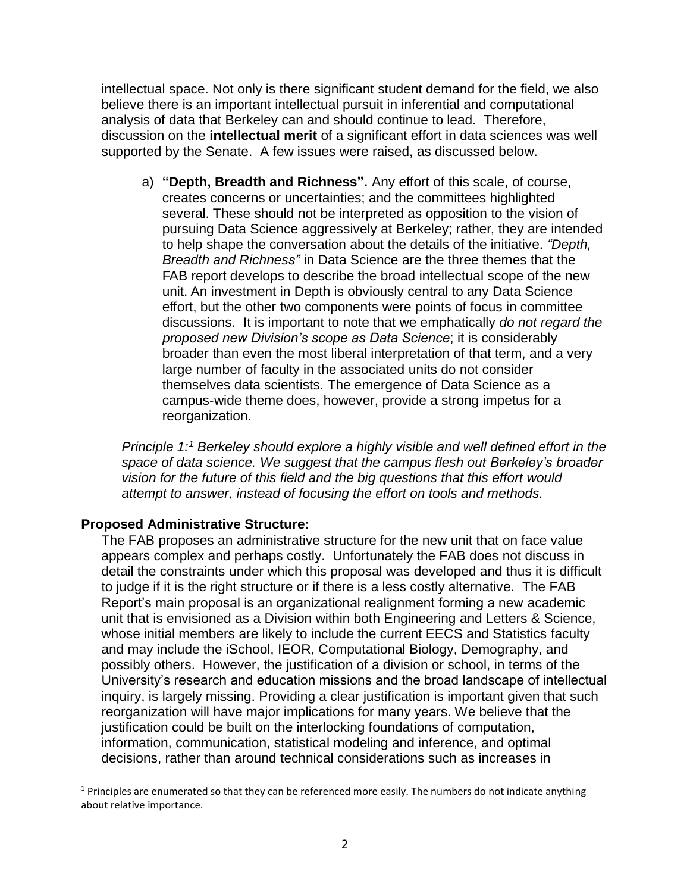intellectual space. Not only is there significant student demand for the field, we also believe there is an important intellectual pursuit in inferential and computational analysis of data that Berkeley can and should continue to lead. Therefore, discussion on the **intellectual merit** of a significant effort in data sciences was well supported by the Senate. A few issues were raised, as discussed below.

a) **"Depth, Breadth and Richness".** Any effort of this scale, of course, creates concerns or uncertainties; and the committees highlighted several. These should not be interpreted as opposition to the vision of pursuing Data Science aggressively at Berkeley; rather, they are intended to help shape the conversation about the details of the initiative. *"Depth, Breadth and Richness"* in Data Science are the three themes that the FAB report develops to describe the broad intellectual scope of the new unit. An investment in Depth is obviously central to any Data Science effort, but the other two components were points of focus in committee discussions. It is important to note that we emphatically *do not regard the proposed new Division's scope as Data Science*; it is considerably broader than even the most liberal interpretation of that term, and a very large number of faculty in the associated units do not consider themselves data scientists. The emergence of Data Science as a campus-wide theme does, however, provide a strong impetus for a reorganization.

*Principle 1: <sup>1</sup> Berkeley should explore a highly visible and well defined effort in the space of data science. We suggest that the campus flesh out Berkeley's broader vision for the future of this field and the big questions that this effort would attempt to answer, instead of focusing the effort on tools and methods.*

## **Proposed Administrative Structure:**

 $\overline{a}$ 

The FAB proposes an administrative structure for the new unit that on face value appears complex and perhaps costly. Unfortunately the FAB does not discuss in detail the constraints under which this proposal was developed and thus it is difficult to judge if it is the right structure or if there is a less costly alternative. The FAB Report's main proposal is an organizational realignment forming a new academic unit that is envisioned as a Division within both Engineering and Letters & Science, whose initial members are likely to include the current EECS and Statistics faculty and may include the iSchool, IEOR, Computational Biology, Demography, and possibly others. However, the justification of a division or school, in terms of the University's research and education missions and the broad landscape of intellectual inquiry, is largely missing. Providing a clear justification is important given that such reorganization will have major implications for many years. We believe that the justification could be built on the interlocking foundations of computation, information, communication, statistical modeling and inference, and optimal decisions, rather than around technical considerations such as increases in

 $1$  Principles are enumerated so that they can be referenced more easily. The numbers do not indicate anything about relative importance.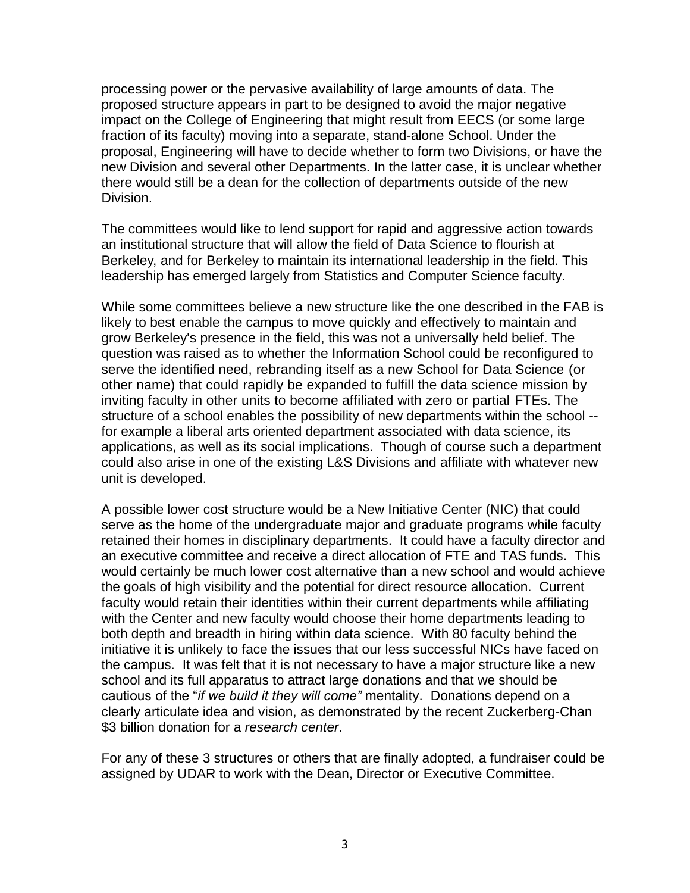processing power or the pervasive availability of large amounts of data. The proposed structure appears in part to be designed to avoid the major negative impact on the College of Engineering that might result from EECS (or some large fraction of its faculty) moving into a separate, stand-alone School. Under the proposal, Engineering will have to decide whether to form two Divisions, or have the new Division and several other Departments. In the latter case, it is unclear whether there would still be a dean for the collection of departments outside of the new Division.

The committees would like to lend support for rapid and aggressive action towards an institutional structure that will allow the field of Data Science to flourish at Berkeley, and for Berkeley to maintain its international leadership in the field. This leadership has emerged largely from Statistics and Computer Science faculty.

While some committees believe a new structure like the one described in the FAB is likely to best enable the campus to move quickly and effectively to maintain and grow Berkeley's presence in the field, this was not a universally held belief. The question was raised as to whether the Information School could be reconfigured to serve the identified need, rebranding itself as a new School for Data Science (or other name) that could rapidly be expanded to fulfill the data science mission by inviting faculty in other units to become affiliated with zero or partial FTEs. The structure of a school enables the possibility of new departments within the school - for example a liberal arts oriented department associated with data science, its applications, as well as its social implications. Though of course such a department could also arise in one of the existing L&S Divisions and affiliate with whatever new unit is developed.

A possible lower cost structure would be a New Initiative Center (NIC) that could serve as the home of the undergraduate major and graduate programs while faculty retained their homes in disciplinary departments. It could have a faculty director and an executive committee and receive a direct allocation of FTE and TAS funds. This would certainly be much lower cost alternative than a new school and would achieve the goals of high visibility and the potential for direct resource allocation. Current faculty would retain their identities within their current departments while affiliating with the Center and new faculty would choose their home departments leading to both depth and breadth in hiring within data science. With 80 faculty behind the initiative it is unlikely to face the issues that our less successful NICs have faced on the campus. It was felt that it is not necessary to have a major structure like a new school and its full apparatus to attract large donations and that we should be cautious of the "*if we build it they will come"* mentality. Donations depend on a clearly articulate idea and vision, as demonstrated by the recent Zuckerberg-Chan \$3 billion donation for a *research center*.

For any of these 3 structures or others that are finally adopted, a fundraiser could be assigned by UDAR to work with the Dean, Director or Executive Committee.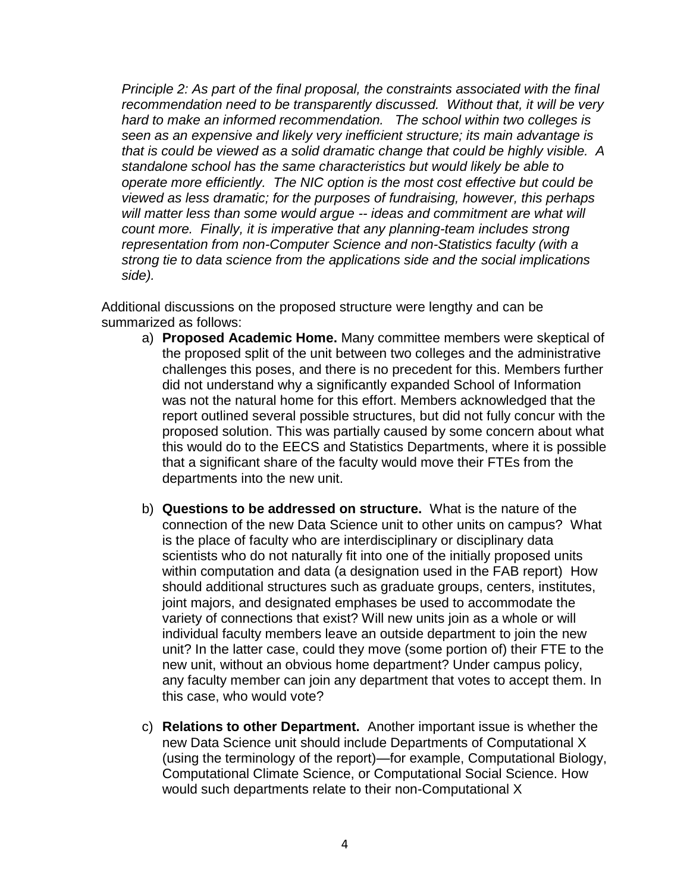*Principle 2: As part of the final proposal, the constraints associated with the final recommendation need to be transparently discussed. Without that, it will be very hard to make an informed recommendation. The school within two colleges is seen as an expensive and likely very inefficient structure; its main advantage is that is could be viewed as a solid dramatic change that could be highly visible. A standalone school has the same characteristics but would likely be able to operate more efficiently. The NIC option is the most cost effective but could be viewed as less dramatic; for the purposes of fundraising, however, this perhaps will matter less than some would argue -- ideas and commitment are what will count more. Finally, it is imperative that any planning-team includes strong representation from non-Computer Science and non-Statistics faculty (with a strong tie to data science from the applications side and the social implications side).*

Additional discussions on the proposed structure were lengthy and can be summarized as follows:

- a) **Proposed Academic Home.** Many committee members were skeptical of the proposed split of the unit between two colleges and the administrative challenges this poses, and there is no precedent for this. Members further did not understand why a significantly expanded School of Information was not the natural home for this effort. Members acknowledged that the report outlined several possible structures, but did not fully concur with the proposed solution. This was partially caused by some concern about what this would do to the EECS and Statistics Departments, where it is possible that a significant share of the faculty would move their FTEs from the departments into the new unit.
- b) **Questions to be addressed on structure.** What is the nature of the connection of the new Data Science unit to other units on campus? What is the place of faculty who are interdisciplinary or disciplinary data scientists who do not naturally fit into one of the initially proposed units within computation and data (a designation used in the FAB report) How should additional structures such as graduate groups, centers, institutes, joint majors, and designated emphases be used to accommodate the variety of connections that exist? Will new units join as a whole or will individual faculty members leave an outside department to join the new unit? In the latter case, could they move (some portion of) their FTE to the new unit, without an obvious home department? Under campus policy, any faculty member can join any department that votes to accept them. In this case, who would vote?
- c) **Relations to other Department.** Another important issue is whether the new Data Science unit should include Departments of Computational X (using the terminology of the report)—for example, Computational Biology, Computational Climate Science, or Computational Social Science. How would such departments relate to their non-Computational X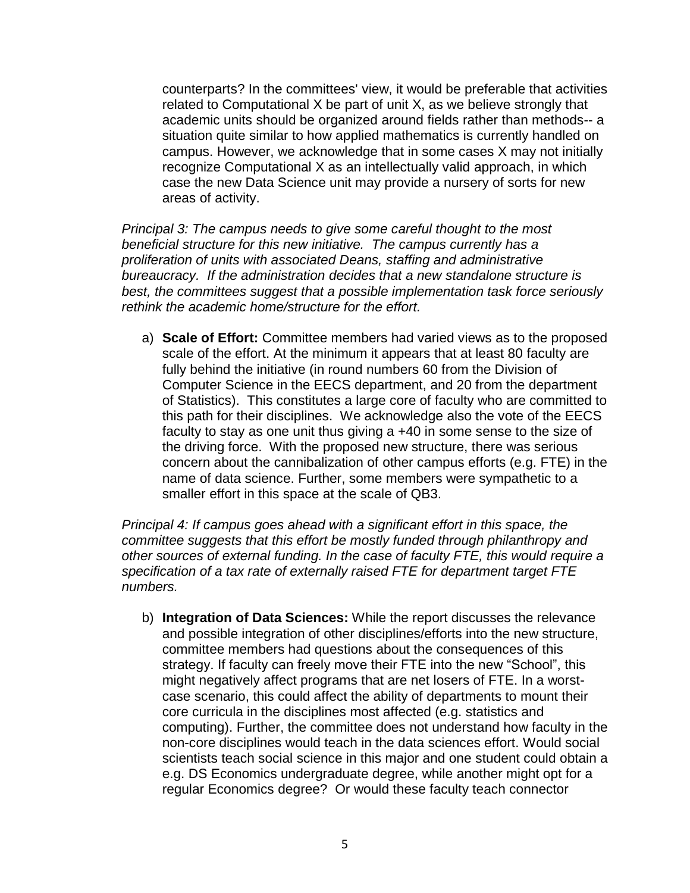counterparts? In the committees' view, it would be preferable that activities related to Computational X be part of unit X, as we believe strongly that academic units should be organized around fields rather than methods-- a situation quite similar to how applied mathematics is currently handled on campus. However, we acknowledge that in some cases X may not initially recognize Computational X as an intellectually valid approach, in which case the new Data Science unit may provide a nursery of sorts for new areas of activity.

*Principal 3: The campus needs to give some careful thought to the most beneficial structure for this new initiative. The campus currently has a proliferation of units with associated Deans, staffing and administrative bureaucracy. If the administration decides that a new standalone structure is best, the committees suggest that a possible implementation task force seriously rethink the academic home/structure for the effort.*

a) **Scale of Effort:** Committee members had varied views as to the proposed scale of the effort. At the minimum it appears that at least 80 faculty are fully behind the initiative (in round numbers 60 from the Division of Computer Science in the EECS department, and 20 from the department of Statistics). This constitutes a large core of faculty who are committed to this path for their disciplines. We acknowledge also the vote of the EECS faculty to stay as one unit thus giving a +40 in some sense to the size of the driving force. With the proposed new structure, there was serious concern about the cannibalization of other campus efforts (e.g. FTE) in the name of data science. Further, some members were sympathetic to a smaller effort in this space at the scale of QB3.

*Principal 4: If campus goes ahead with a significant effort in this space, the committee suggests that this effort be mostly funded through philanthropy and other sources of external funding. In the case of faculty FTE, this would require a specification of a tax rate of externally raised FTE for department target FTE numbers.*

b) **Integration of Data Sciences:** While the report discusses the relevance and possible integration of other disciplines/efforts into the new structure, committee members had questions about the consequences of this strategy. If faculty can freely move their FTE into the new "School", this might negatively affect programs that are net losers of FTE. In a worstcase scenario, this could affect the ability of departments to mount their core curricula in the disciplines most affected (e.g. statistics and computing). Further, the committee does not understand how faculty in the non-core disciplines would teach in the data sciences effort. Would social scientists teach social science in this major and one student could obtain a e.g. DS Economics undergraduate degree, while another might opt for a regular Economics degree? Or would these faculty teach connector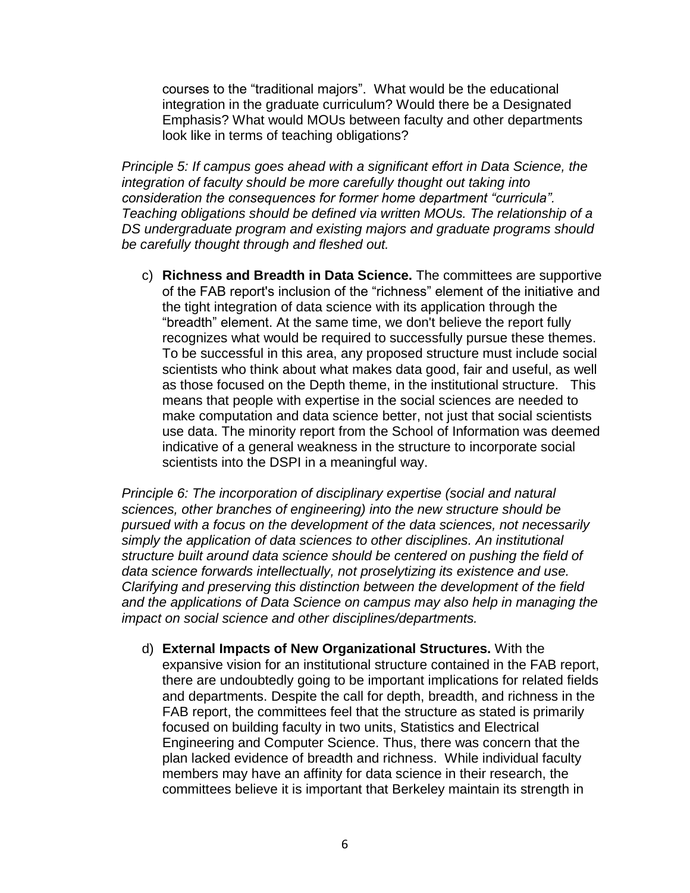courses to the "traditional majors". What would be the educational integration in the graduate curriculum? Would there be a Designated Emphasis? What would MOUs between faculty and other departments look like in terms of teaching obligations?

*Principle 5: If campus goes ahead with a significant effort in Data Science, the integration of faculty should be more carefully thought out taking into consideration the consequences for former home department "curricula". Teaching obligations should be defined via written MOUs. The relationship of a DS undergraduate program and existing majors and graduate programs should be carefully thought through and fleshed out.*

c) **Richness and Breadth in Data Science.** The committees are supportive of the FAB report's inclusion of the "richness" element of the initiative and the tight integration of data science with its application through the "breadth" element. At the same time, we don't believe the report fully recognizes what would be required to successfully pursue these themes. To be successful in this area, any proposed structure must include social scientists who think about what makes data good, fair and useful, as well as those focused on the Depth theme, in the institutional structure. This means that people with expertise in the social sciences are needed to make computation and data science better, not just that social scientists use data. The minority report from the School of Information was deemed indicative of a general weakness in the structure to incorporate social scientists into the DSPI in a meaningful way.

*Principle 6: The incorporation of disciplinary expertise (social and natural sciences, other branches of engineering) into the new structure should be pursued with a focus on the development of the data sciences, not necessarily simply the application of data sciences to other disciplines. An institutional structure built around data science should be centered on pushing the field of data science forwards intellectually, not proselytizing its existence and use. Clarifying and preserving this distinction between the development of the field and the applications of Data Science on campus may also help in managing the impact on social science and other disciplines/departments.*

d) **External Impacts of New Organizational Structures.** With the expansive vision for an institutional structure contained in the FAB report, there are undoubtedly going to be important implications for related fields and departments. Despite the call for depth, breadth, and richness in the FAB report, the committees feel that the structure as stated is primarily focused on building faculty in two units, Statistics and Electrical Engineering and Computer Science. Thus, there was concern that the plan lacked evidence of breadth and richness. While individual faculty members may have an affinity for data science in their research, the committees believe it is important that Berkeley maintain its strength in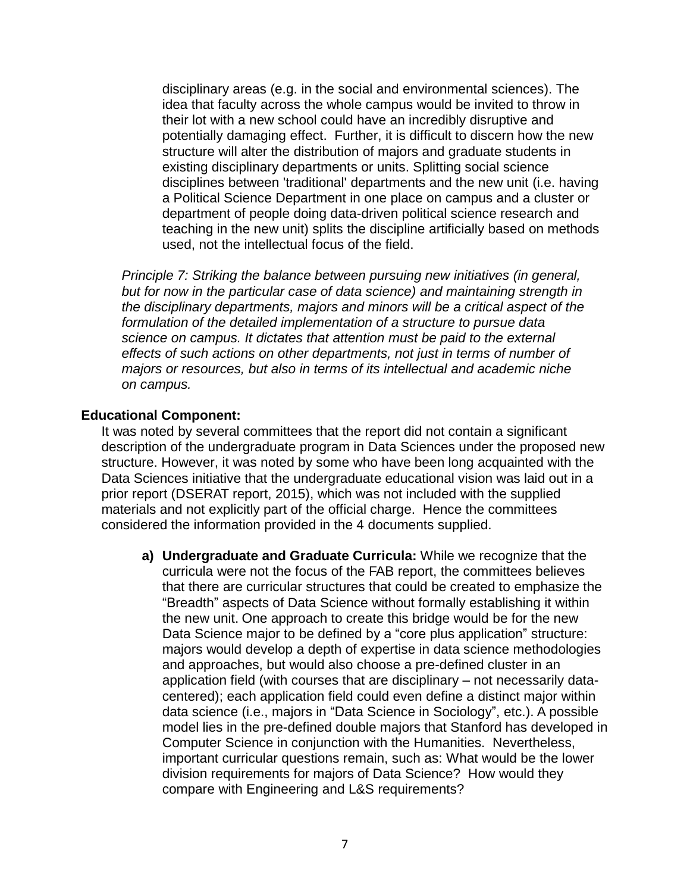disciplinary areas (e.g. in the social and environmental sciences). The idea that faculty across the whole campus would be invited to throw in their lot with a new school could have an incredibly disruptive and potentially damaging effect. Further, it is difficult to discern how the new structure will alter the distribution of majors and graduate students in existing disciplinary departments or units. Splitting social science disciplines between 'traditional' departments and the new unit (i.e. having a Political Science Department in one place on campus and a cluster or department of people doing data-driven political science research and teaching in the new unit) splits the discipline artificially based on methods used, not the intellectual focus of the field.

*Principle 7: Striking the balance between pursuing new initiatives (in general, but for now in the particular case of data science) and maintaining strength in the disciplinary departments, majors and minors will be a critical aspect of the formulation of the detailed implementation of a structure to pursue data science on campus. It dictates that attention must be paid to the external effects of such actions on other departments, not just in terms of number of majors or resources, but also in terms of its intellectual and academic niche on campus.*

### **Educational Component:**

It was noted by several committees that the report did not contain a significant description of the undergraduate program in Data Sciences under the proposed new structure. However, it was noted by some who have been long acquainted with the Data Sciences initiative that the undergraduate educational vision was laid out in a prior report (DSERAT report, 2015), which was not included with the supplied materials and not explicitly part of the official charge. Hence the committees considered the information provided in the 4 documents supplied.

**a) Undergraduate and Graduate Curricula:** While we recognize that the curricula were not the focus of the FAB report, the committees believes that there are curricular structures that could be created to emphasize the "Breadth" aspects of Data Science without formally establishing it within the new unit. One approach to create this bridge would be for the new Data Science major to be defined by a "core plus application" structure: majors would develop a depth of expertise in data science methodologies and approaches, but would also choose a pre-defined cluster in an application field (with courses that are disciplinary – not necessarily datacentered); each application field could even define a distinct major within data science (i.e., majors in "Data Science in Sociology", etc.). A possible model lies in the pre-defined double majors that Stanford has developed in Computer Science in conjunction with the Humanities. Nevertheless, important curricular questions remain, such as: What would be the lower division requirements for majors of Data Science? How would they compare with Engineering and L&S requirements?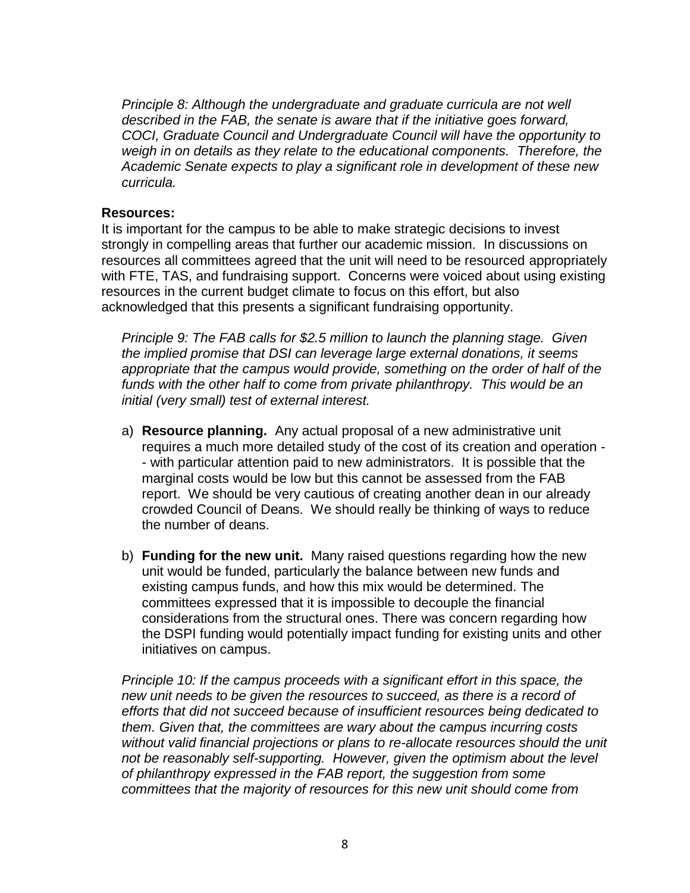*Principle 8: Although the undergraduate and graduate curricula are not well described in the FAB, the senate is aware that if the initiative goes forward, COCI, Graduate Council and Undergraduate Council will have the opportunity to weigh in on details as they relate to the educational components. Therefore, the Academic Senate expects to play a significant role in development of these new curricula.* 

### **Resources:**

It is important for the campus to be able to make strategic decisions to invest strongly in compelling areas that further our academic mission. In discussions on resources all committees agreed that the unit will need to be resourced appropriately with FTE, TAS, and fundraising support. Concerns were voiced about using existing resources in the current budget climate to focus on this effort, but also acknowledged that this presents a significant fundraising opportunity.

*Principle 9: The FAB calls for \$2.5 million to launch the planning stage. Given the implied promise that DSI can leverage large external donations, it seems appropriate that the campus would provide, something on the order of half of the*  funds with the other half to come from private philanthropy. This would be an *initial (very small) test of external interest.*

- a) **Resource planning.** Any actual proposal of a new administrative unit requires a much more detailed study of the cost of its creation and operation - - with particular attention paid to new administrators. It is possible that the marginal costs would be low but this cannot be assessed from the FAB report. We should be very cautious of creating another dean in our already crowded Council of Deans. We should really be thinking of ways to reduce the number of deans.
- b) **Funding for the new unit.** Many raised questions regarding how the new unit would be funded, particularly the balance between new funds and existing campus funds, and how this mix would be determined. The committees expressed that it is impossible to decouple the financial considerations from the structural ones. There was concern regarding how the DSPI funding would potentially impact funding for existing units and other initiatives on campus.

*Principle 10: If the campus proceeds with a significant effort in this space, the new unit needs to be given the resources to succeed, as there is a record of efforts that did not succeed because of insufficient resources being dedicated to them. Given that, the committees are wary about the campus incurring costs without valid financial projections or plans to re-allocate resources should the unit*  not be reasonably self-supporting. However, given the optimism about the level *of philanthropy expressed in the FAB report, the suggestion from some committees that the majority of resources for this new unit should come from*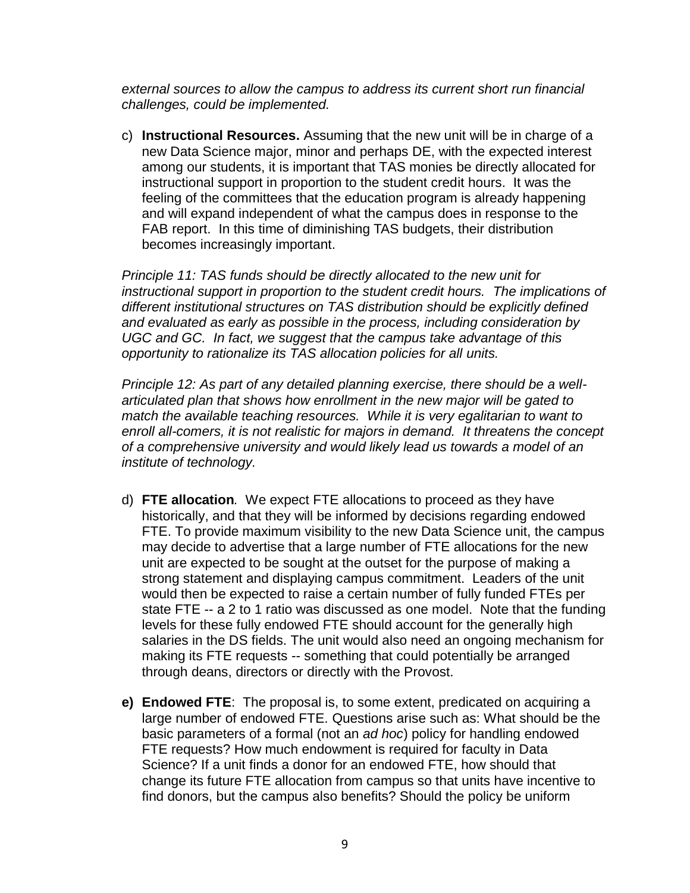*external sources to allow the campus to address its current short run financial challenges, could be implemented.* 

c) **Instructional Resources.** Assuming that the new unit will be in charge of a new Data Science major, minor and perhaps DE, with the expected interest among our students, it is important that TAS monies be directly allocated for instructional support in proportion to the student credit hours. It was the feeling of the committees that the education program is already happening and will expand independent of what the campus does in response to the FAB report. In this time of diminishing TAS budgets, their distribution becomes increasingly important.

*Principle 11: TAS funds should be directly allocated to the new unit for instructional support in proportion to the student credit hours. The implications of different institutional structures on TAS distribution should be explicitly defined and evaluated as early as possible in the process, including consideration by UGC and GC. In fact, we suggest that the campus take advantage of this opportunity to rationalize its TAS allocation policies for all units.* 

*Principle 12: As part of any detailed planning exercise, there should be a wellarticulated plan that shows how enrollment in the new major will be gated to match the available teaching resources. While it is very egalitarian to want to enroll all-comers, it is not realistic for majors in demand. It threatens the concept of a comprehensive university and would likely lead us towards a model of an institute of technology.*

- d) **FTE allocation***.* We expect FTE allocations to proceed as they have historically, and that they will be informed by decisions regarding endowed FTE. To provide maximum visibility to the new Data Science unit, the campus may decide to advertise that a large number of FTE allocations for the new unit are expected to be sought at the outset for the purpose of making a strong statement and displaying campus commitment. Leaders of the unit would then be expected to raise a certain number of fully funded FTEs per state FTE -- a 2 to 1 ratio was discussed as one model. Note that the funding levels for these fully endowed FTE should account for the generally high salaries in the DS fields. The unit would also need an ongoing mechanism for making its FTE requests -- something that could potentially be arranged through deans, directors or directly with the Provost.
- **e) Endowed FTE**: The proposal is, to some extent, predicated on acquiring a large number of endowed FTE. Questions arise such as: What should be the basic parameters of a formal (not an *ad hoc*) policy for handling endowed FTE requests? How much endowment is required for faculty in Data Science? If a unit finds a donor for an endowed FTE, how should that change its future FTE allocation from campus so that units have incentive to find donors, but the campus also benefits? Should the policy be uniform